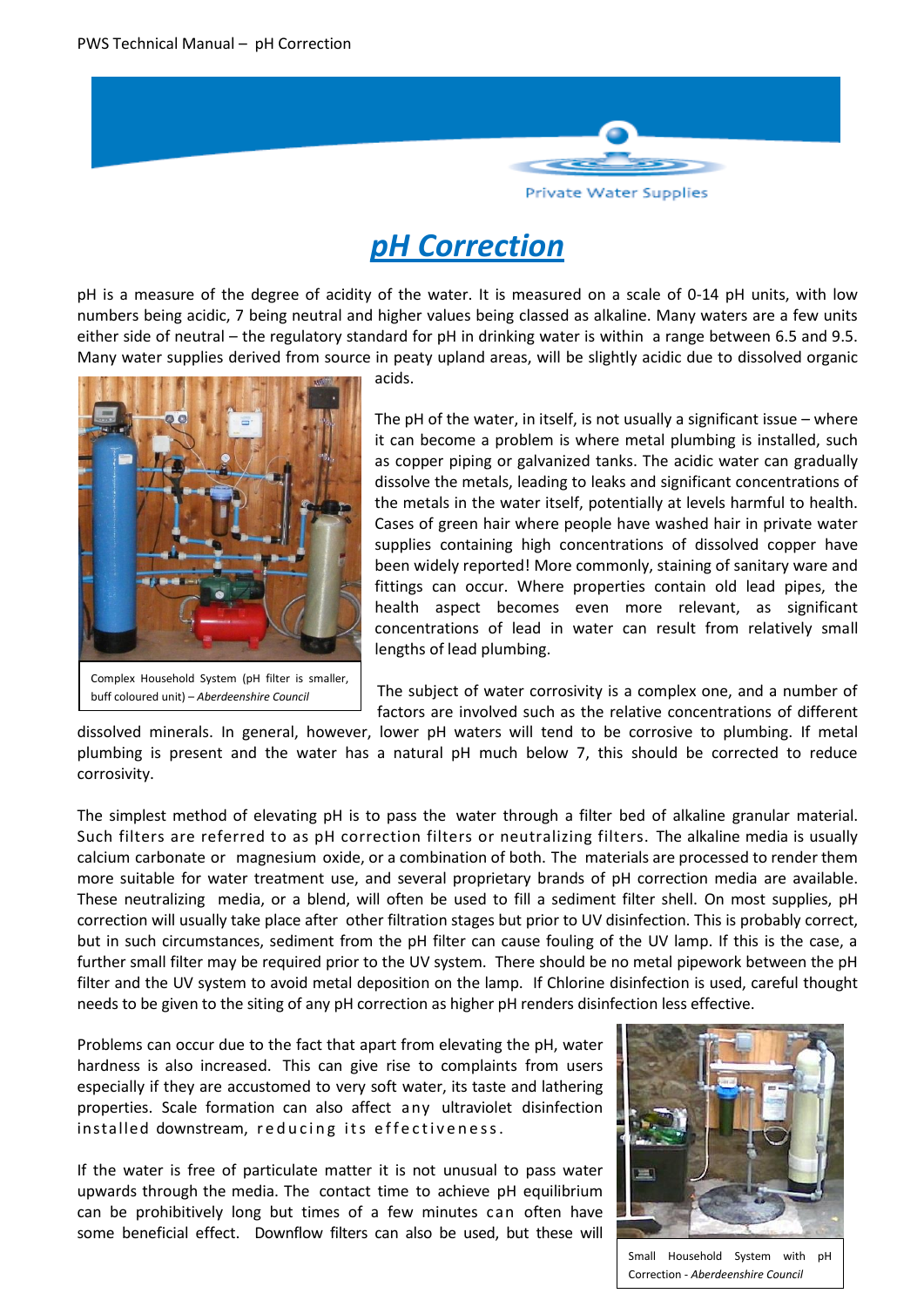

# *pH Correction*

pH is a measure of the degree of acidity of the water. It is measured on a scale of 0-14 pH units, with low numbers being acidic, 7 being neutral and higher values being classed as alkaline. Many waters are a few units either side of neutral – the regulatory standard for pH in drinking water is within a range between 6.5 and 9.5. Many water supplies derived from source in peaty upland areas, will be slightly acidic due to dissolved organic



acids.

The pH of the water, in itself, is not usually a significant issue – where it can become a problem is where metal plumbing is installed, such as copper piping or galvanized tanks. The acidic water can gradually dissolve the metals, leading to leaks and significant concentrations of the metals in the water itself, potentially at levels harmful to health. Cases of green hair where people have washed hair in private water supplies containing high concentrations of dissolved copper have been widely reported! More commonly, staining of sanitary ware and fittings can occur. Where properties contain old lead pipes, the health aspect becomes even more relevant, as significant concentrations of lead in water can result from relatively small lengths of lead plumbing.

The subject of water corrosivity is a complex one, and a number of factors are involved such as the relative concentrations of different

dissolved minerals. In general, however, lower pH waters will tend to be corrosive to plumbing. If metal plumbing is present and the water has a natural pH much below 7, this should be corrected to reduce corrosivity.

The simplest method of elevating pH is to pass the water through a filter bed of alkaline granular material. Such filters are referred to as pH correction filters or neutralizing filters. The alkaline media is usually calcium carbonate or magnesium oxide, or a combination of both. The materials are processed to render them more suitable for water treatment use, and several proprietary brands of pH correction media are available. These neutralizing media, or a blend, will often be used to fill a sediment filter shell. On most supplies, pH correction will usually take place after other filtration stages but prior to UV disinfection. This is probably correct, but in such circumstances, sediment from the pH filter can cause fouling of the UV lamp. If this is the case, a further small filter may be required prior to the UV system. There should be no metal pipework between the pH filter and the UV system to avoid metal deposition on the lamp. If Chlorine disinfection is used, careful thought needs to be given to the siting of any pH correction as higher pH renders disinfection less effective.

Problems can occur due to the fact that apart from elevating the pH, water hardness is also increased. This can give rise to complaints from users especially if they are accustomed to very soft water, its taste and lathering properties. Scale formation can also affect any ultraviolet disinfection installed downstream, reducing its effectiveness.

If the water is free of particulate matter it is not unusual to pass water upwards through the media. The contact time to achieve pH equilibrium can be prohibitively long but times of a few minutes can often have some beneficial effect. Downflow filters can also be used, but these will



Small Household System with pH Correction - *Aberdeenshire Council*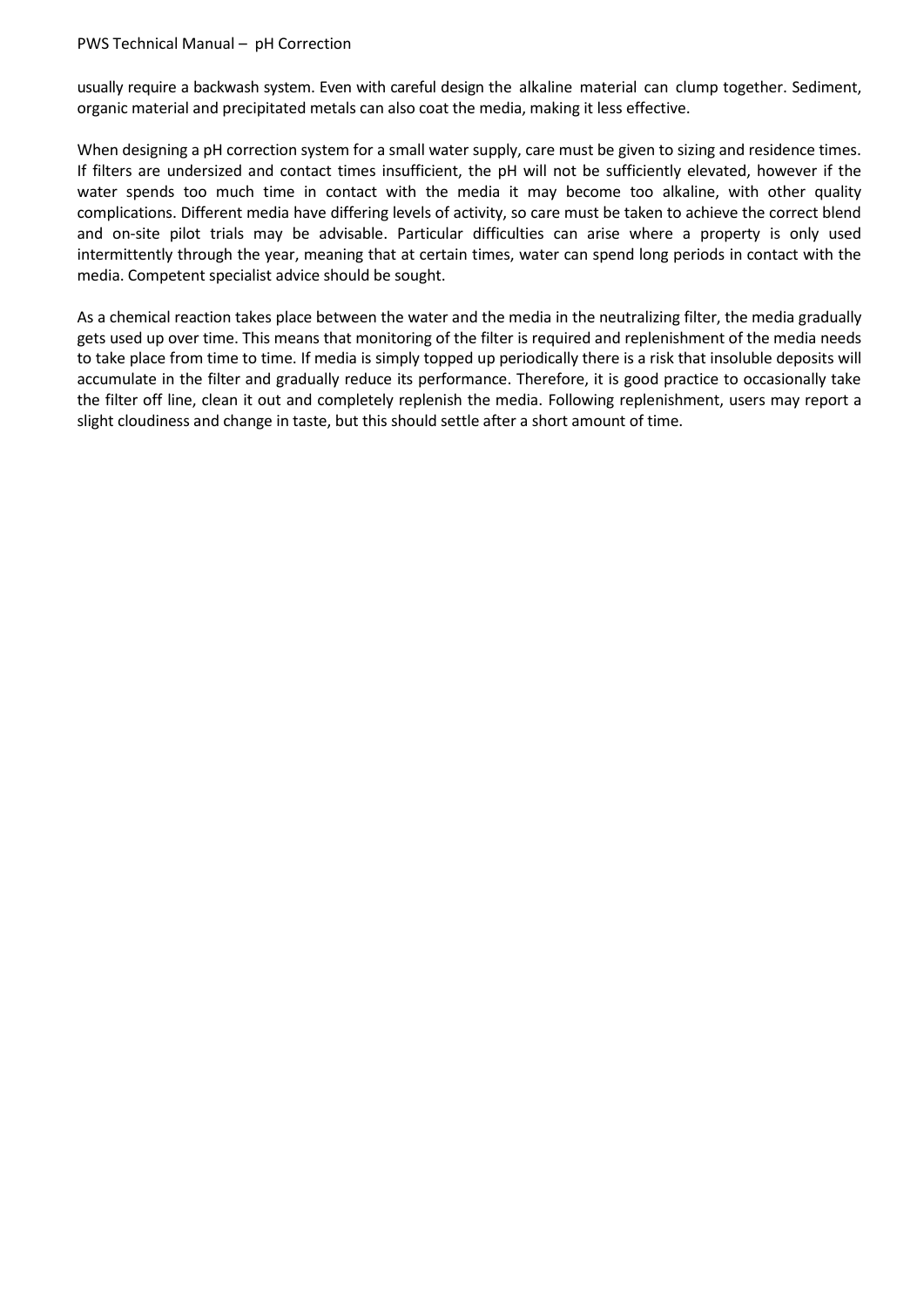#### PWS Technical Manual – pH Correction

usually require a backwash system. Even with careful design the alkaline material can clump together. Sediment, organic material and precipitated metals can also coat the media, making it less effective.

When designing a pH correction system for a small water supply, care must be given to sizing and residence times. If filters are undersized and contact times insufficient, the pH will not be sufficiently elevated, however if the water spends too much time in contact with the media it may become too alkaline, with other quality complications. Different media have differing levels of activity, so care must be taken to achieve the correct blend and on-site pilot trials may be advisable. Particular difficulties can arise where a property is only used intermittently through the year, meaning that at certain times, water can spend long periods in contact with the media. Competent specialist advice should be sought.

As a chemical reaction takes place between the water and the media in the neutralizing filter, the media gradually gets used up over time. This means that monitoring of the filter is required and replenishment of the media needs to take place from time to time. If media is simply topped up periodically there is a risk that insoluble deposits will accumulate in the filter and gradually reduce its performance. Therefore, it is good practice to occasionally take the filter off line, clean it out and completely replenish the media. Following replenishment, users may report a slight cloudiness and change in taste, but this should settle after a short amount of time.